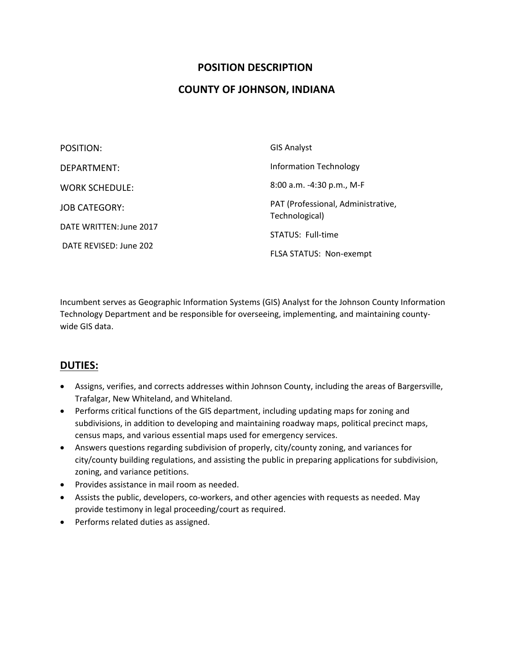### **POSITION DESCRIPTION**

### **COUNTY OF JOHNSON, INDIANA**

| POSITION:               | <b>GIS Analyst</b>                                   |
|-------------------------|------------------------------------------------------|
| DEPARTMENT:             | <b>Information Technology</b>                        |
| <b>WORK SCHEDULE:</b>   | 8:00 a.m. -4:30 p.m., M-F                            |
| <b>JOB CATEGORY:</b>    | PAT (Professional, Administrative,<br>Technological) |
| DATE WRITTEN: June 2017 | STATUS: Full-time                                    |
| DATE REVISED: June 202  | FLSA STATUS: Non-exempt                              |

Incumbent serves as Geographic Information Systems (GIS) Analyst for the Johnson County Information Technology Department and be responsible for overseeing, implementing, and maintaining county‐ wide GIS data.

### **DUTIES:**

- Assigns, verifies, and corrects addresses within Johnson County, including the areas of Bargersville, Trafalgar, New Whiteland, and Whiteland.
- Performs critical functions of the GIS department, including updating maps for zoning and subdivisions, in addition to developing and maintaining roadway maps, political precinct maps, census maps, and various essential maps used for emergency services.
- Answers questions regarding subdivision of properly, city/county zoning, and variances for city/county building regulations, and assisting the public in preparing applications for subdivision, zoning, and variance petitions.
- Provides assistance in mail room as needed.
- Assists the public, developers, co-workers, and other agencies with requests as needed. May provide testimony in legal proceeding/court as required.
- Performs related duties as assigned.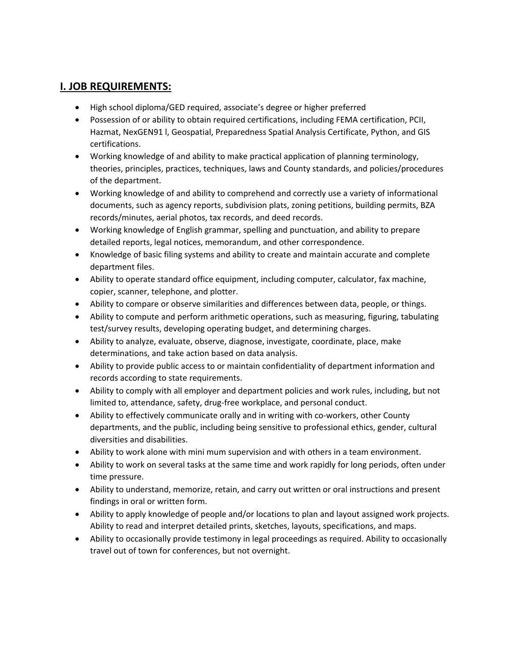# **I. JOB REQUIREMENTS:**

- High school diploma/GED required, associate's degree or higher preferred
- Possession of or ability to obtain required certifications, including FEMA certification, PCII, Hazmat, NexGEN91 l, Geospatial, Preparedness Spatial Analysis Certificate, Python, and GIS certifications.
- Working knowledge of and ability to make practical application of planning terminology, theories, principles, practices, techniques, laws and County standards, and policies/procedures of the department.
- Working knowledge of and ability to comprehend and correctly use a variety of informational documents, such as agency reports, subdivision plats, zoning petitions, building permits, BZA records/minutes, aerial photos, tax records, and deed records.
- Working knowledge of English grammar, spelling and punctuation, and ability to prepare detailed reports, legal notices, memorandum, and other correspondence.
- Knowledge of basic filing systems and ability to create and maintain accurate and complete department files.
- Ability to operate standard office equipment, including computer, calculator, fax machine, copier, scanner, telephone, and plotter.
- Ability to compare or observe similarities and differences between data, people, or things.
- Ability to compute and perform arithmetic operations, such as measuring, figuring, tabulating test/survey results, developing operating budget, and determining charges.
- Ability to analyze, evaluate, observe, diagnose, investigate, coordinate, place, make determinations, and take action based on data analysis.
- Ability to provide public access to or maintain confidentiality of department information and records according to state requirements.
- Ability to comply with all employer and department policies and work rules, including, but not limited to, attendance, safety, drug-free workplace, and personal conduct.
- Ability to effectively communicate orally and in writing with co-workers, other County departments, and the public, including being sensitive to professional ethics, gender, cultural diversities and disabilities.
- Ability to work alone with mini mum supervision and with others in a team environment.
- Ability to work on several tasks at the same time and work rapidly for long periods, often under time pressure.
- Ability to understand, memorize, retain, and carry out written or oral instructions and present findings in oral or written form.
- Ability to apply knowledge of people and/or locations to plan and layout assigned work projects. Ability to read and interpret detailed prints, sketches, layouts, specifications, and maps.
- Ability to occasionally provide testimony in legal proceedings as required. Ability to occasionally travel out of town for conferences, but not overnight.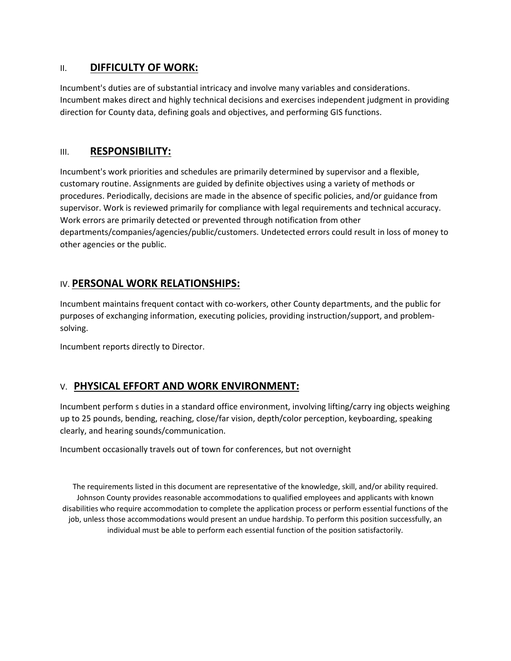### II. **DIFFICULTY OF WORK:**

Incumbent's duties are of substantial intricacy and involve many variables and considerations. Incumbent makes direct and highly technical decisions and exercises independent judgment in providing direction for County data, defining goals and objectives, and performing GIS functions.

## III. **RESPONSIBILITY:**

Incumbent's work priorities and schedules are primarily determined by supervisor and a flexible, customary routine. Assignments are guided by definite objectives using a variety of methods or procedures. Periodically, decisions are made in the absence of specific policies, and/or guidance from supervisor. Work is reviewed primarily for compliance with legal requirements and technical accuracy. Work errors are primarily detected or prevented through notification from other departments/companies/agencies/public/customers. Undetected errors could result in loss of money to other agencies or the public.

# IV. **PERSONAL WORK RELATIONSHIPS:**

Incumbent maintains frequent contact with co-workers, other County departments, and the public for purposes of exchanging information, executing policies, providing instruction/support, and problem‐ solving.

Incumbent reports directly to Director.

# V. **PHYSICAL EFFORT AND WORK ENVIRONMENT:**

Incumbent perform s duties in a standard office environment, involving lifting/carry ing objects weighing up to 25 pounds, bending, reaching, close/far vision, depth/color perception, keyboarding, speaking clearly, and hearing sounds/communication.

Incumbent occasionally travels out of town for conferences, but not overnight

The requirements listed in this document are representative of the knowledge, skill, and/or ability required. Johnson County provides reasonable accommodations to qualified employees and applicants with known disabilities who require accommodation to complete the application process or perform essential functions of the job, unless those accommodations would present an undue hardship. To perform this position successfully, an individual must be able to perform each essential function of the position satisfactorily.